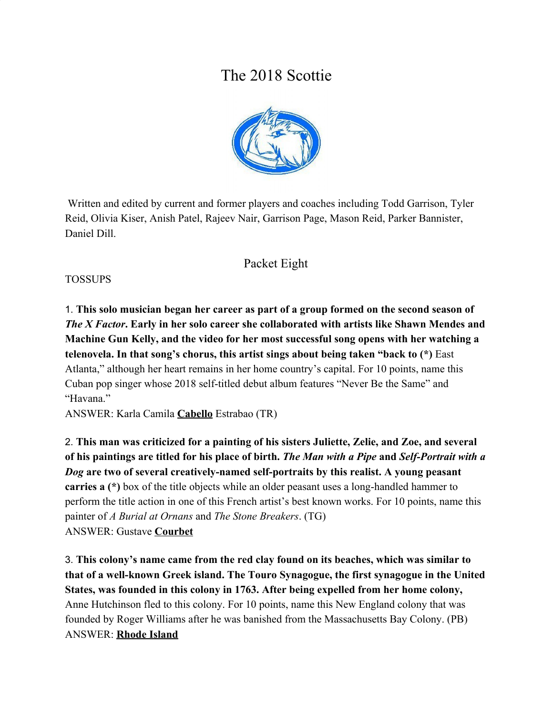# The 2018 Scottie



 Written and edited by current and former players and coaches including Todd Garrison, Tyler Reid, Olivia Kiser, Anish Patel, Rajeev Nair, Garrison Page, Mason Reid, Parker Bannister, Daniel Dill.

# Packet Eight

#### TOSSUPS

1. **This solo musician began her career as part of a group formed on the second season of** *The X Factor***. Early in her solo career she collaborated with artists like Shawn Mendes and Machine Gun Kelly, and the video for her most successful song opens with her watching a telenovela. In that song's chorus, this artist sings about being taken "back to (\*)** East Atlanta," although her heart remains in her home country's capital. For 10 points, name this Cuban pop singer whose 2018 self-titled debut album features "Never Be the Same" and "Havana."

ANSWER: Karla Camila **Cabello** Estrabao (TR)

2. **This man was criticized for a painting of his sisters Juliette, Zelie, and Zoe, and several of his paintings are titled for his place of birth.** *The Man with a Pipe* **and** *Self-Portrait with a Dog* **are two of several creatively-named self-portraits by this realist. A young peasant carries a (\*)** box of the title objects while an older peasant uses a long-handled hammer to perform the title action in one of this French artist's best known works. For 10 points, name this painter of *A Burial at Ornans* and *The Stone Breakers*. (TG) ANSWER: Gustave **Courbet**

3. **This colony's name came from the red clay found on its beaches, which was similar to that of a well-known Greek island. The Touro Synagogue, the first synagogue in the United States, was founded in this colony in 1763. After being expelled from her home colony,** Anne Hutchinson fled to this colony. For 10 points, name this New England colony that was founded by Roger Williams after he was banished from the Massachusetts Bay Colony. (PB) ANSWER: **Rhode Island**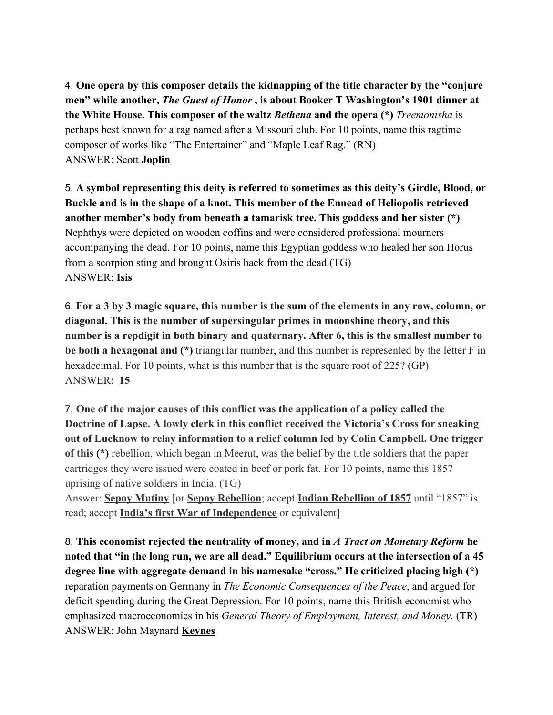4. **One opera by this composer details the kidnapping of the title character by the "conjure men" while another,** *The Guest of Honor* **, is about Booker T Washington's 1901 dinner at the White House. This composer of the waltz** *Bethena* **and the opera (\*)** *Treemonisha* is perhaps best known for a rag named after a Missouri club. For 10 points, name this ragtime composer of works like "The Entertainer" and "Maple Leaf Rag." (RN) ANSWER: Scott **Joplin**

5. **A symbol representing this deity is referred to sometimes as this deity's Girdle, Blood, or Buckle and is in the shape of a knot. This member of the Ennead of Heliopolis retrieved another member's body from beneath a tamarisk tree. This goddess and her sister (\*)** Nephthys were depicted on wooden coffins and were considered professional mourners accompanying the dead. For 10 points, name this Egyptian goddess who healed her son Horus from a scorpion sting and brought Osiris back from the dead.(TG) ANSWER: **Isis**

6. **For a 3 by 3 magic square, this number is the sum of the elements in any row, column, or diagonal. This is the number of supersingular primes in moonshine theory, and this number is a repdigit in both binary and quaternary. After 6, this is the smallest number to be both a hexagonal and (\*)** triangular number, and this number is represented by the letter F in hexadecimal. For 10 points, what is this number that is the square root of 225? (GP) ANSWER: **15**

7. **One of the major causes of this conflict was the application of a policy called the Doctrine of Lapse. A lowly clerk in this conflict received the Victoria's Cross for sneaking out of Lucknow to relay information to a relief column led by Colin Campbell. One trigger of this (\*)** rebellion, which began in Meerut, was the belief by the title soldiers that the paper cartridges they were issued were coated in beef or pork fat. For 10 points, name this 1857 uprising of native soldiers in India. (TG)

Answer: **Sepoy Mutiny** [or **Sepoy Rebellion**; accept **Indian Rebellion of 1857** until "1857" is read; accept **India's first War of Independence** or equivalent]

8. **This economist rejected the neutrality of money, and in** *A Tract on Monetary Reform* **he noted that "in the long run, we are all dead." Equilibrium occurs at the intersection of a 45 degree line with aggregate demand in his namesake "cross." He criticized placing high (\*)** reparation payments on Germany in *The Economic Consequences of the Peace*, and argued for deficit spending during the Great Depression. For 10 points, name this British economist who emphasized macroeconomics in his *General Theory of Employment, Interest, and Money*. (TR) ANSWER: John Maynard **Keynes**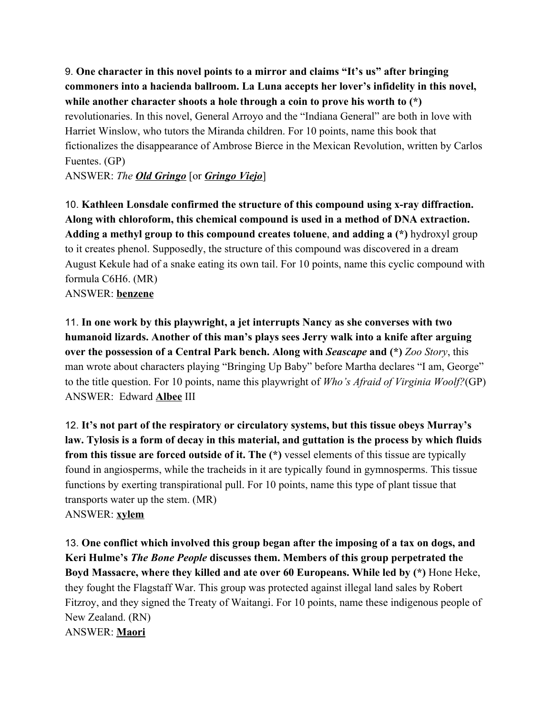9. **One character in this novel points to a mirror and claims "It's us" after bringing commoners into a hacienda ballroom. La Luna accepts her lover's infidelity in this novel, while another character shoots a hole through a coin to prove his worth to (\*)** revolutionaries. In this novel, General Arroyo and the "Indiana General" are both in love with Harriet Winslow, who tutors the Miranda children. For 10 points, name this book that fictionalizes the disappearance of Ambrose Bierce in the Mexican Revolution, written by Carlos Fuentes. (GP)

ANSWER: *The Old Gringo* [or *Gringo Viejo*]

10. **Kathleen Lonsdale confirmed the structure of this compound using x-ray diffraction. Along with chloroform, this chemical compound is used in a method of DNA extraction. Adding a methyl group to this compound creates toluene**, **and adding a (\*)** hydroxyl group to it creates phenol. Supposedly, the structure of this compound was discovered in a dream August Kekule had of a snake eating its own tail. For 10 points, name this cyclic compound with formula C6H6. (MR)

ANSWER: **benzene**

11. **In one work by this playwright, a jet interrupts Nancy as she converses with two humanoid lizards. Another of this man's plays sees Jerry walk into a knife after arguing over the possession of a Central Park bench. Along with** *Seascape* **and (\*)** *Zoo Story*, this man wrote about characters playing "Bringing Up Baby" before Martha declares "I am, George" to the title question. For 10 points, name this playwright of *Who's Afraid of Virginia Woolf?*(GP) ANSWER: Edward **Albee** III

12. **It's not part of the respiratory or circulatory systems, but this tissue obeys Murray's law. Tylosis is a form of decay in this material, and guttation is the process by which fluids from this tissue are forced outside of it. The (\*)** vessel elements of this tissue are typically found in angiosperms, while the tracheids in it are typically found in gymnosperms. This tissue functions by exerting transpirational pull. For 10 points, name this type of plant tissue that transports water up the stem. (MR) ANSWER: **xylem**

13. **One conflict which involved this group began after the imposing of a tax on dogs, and Keri Hulme's** *The Bone People* **discusses them. Members of this group perpetrated the Boyd Massacre, where they killed and ate over 60 Europeans. While led by (\*)** Hone Heke, they fought the Flagstaff War. This group was protected against illegal land sales by Robert Fitzroy, and they signed the Treaty of Waitangi. For 10 points, name these indigenous people of New Zealand. (RN) ANSWER: **Maori**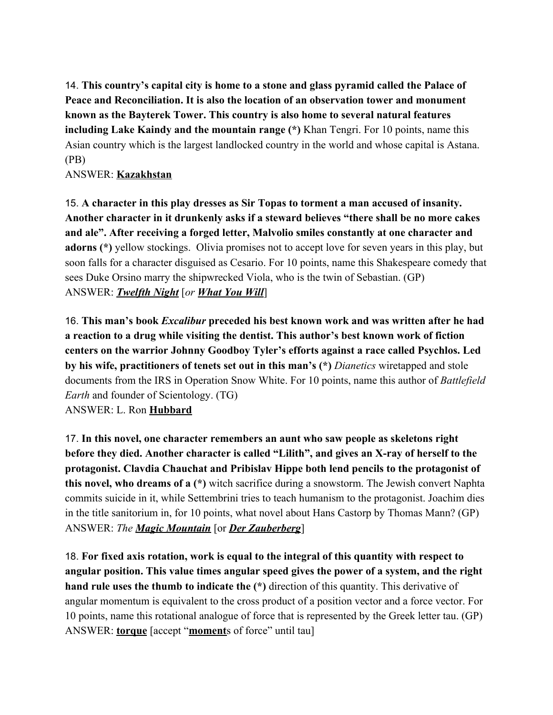14. **This country's capital city is home to a stone and glass pyramid called the Palace of Peace and Reconciliation. It is also the location of an observation tower and monument known as the Bayterek Tower. This country is also home to several natural features including Lake Kaindy and the mountain range (\*)** Khan Tengri. For 10 points, name this Asian country which is the largest landlocked country in the world and whose capital is Astana. (PB)

ANSWER: **Kazakhstan**

15. **A character in this play dresses as Sir Topas to torment a man accused of insanity. Another character in it drunkenly asks if a steward believes "there shall be no more cakes and ale". After receiving a forged letter, Malvolio smiles constantly at one character and adorns (\*)** yellow stockings. Olivia promises not to accept love for seven years in this play, but soon falls for a character disguised as Cesario. For 10 points, name this Shakespeare comedy that sees Duke Orsino marry the shipwrecked Viola, who is the twin of Sebastian. (GP) ANSWER: *Twelfth Night* [*or What You Will*]

16. **This man's book** *Excalibur* **preceded his best known work and was written after he had a reaction to a drug while visiting the dentist. This author's best known work of fiction centers on the warrior Johnny Goodboy Tyler's efforts against a race called Psychlos. Led by his wife, practitioners of tenets set out in this man's (\*)** *Dianetics* wiretapped and stole documents from the IRS in Operation Snow White. For 10 points, name this author of *Battlefield Earth* and founder of Scientology. (TG)

ANSWER: L. Ron **Hubbard**

17. **In this novel, one character remembers an aunt who saw people as skeletons right before they died. Another character is called "Lilith", and gives an X-ray of herself to the protagonist. Clavdia Chauchat and Pribislav Hippe both lend pencils to the protagonist of this novel, who dreams of a (\*)** witch sacrifice during a snowstorm. The Jewish convert Naphta commits suicide in it, while Settembrini tries to teach humanism to the protagonist. Joachim dies in the title sanitorium in, for 10 points, what novel about Hans Castorp by Thomas Mann? (GP) ANSWER: *The Magic Mountain* [or *Der Zauberberg*]

18. **For fixed axis rotation, work is equal to the integral of this quantity with respect to angular position. This value times angular speed gives the power of a system, and the right hand rule uses the thumb to indicate the (\*)** direction of this quantity. This derivative of angular momentum is equivalent to the cross product of a position vector and a force vector. For 10 points, name this rotational analogue of force that is represented by the Greek letter tau. (GP) ANSWER: **torque** [accept "**moment**s of force" until tau]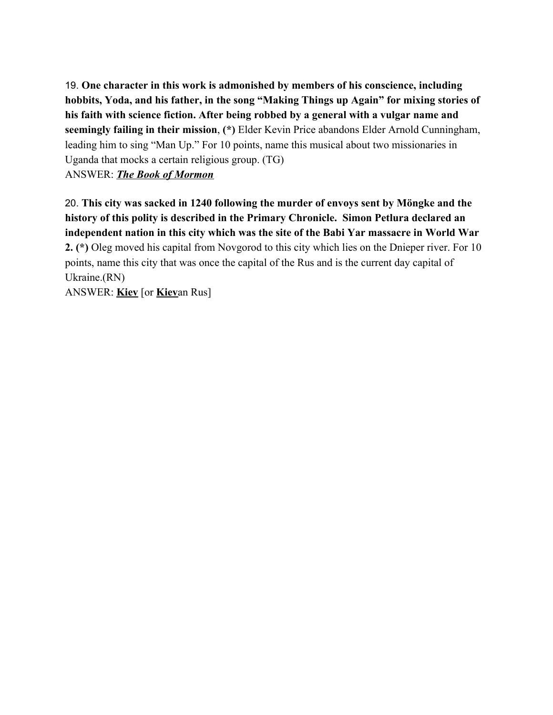19. **One character in this work is admonished by members of his conscience, including hobbits, Yoda, and his father, in the song "Making Things up Again" for mixing stories of his faith with science fiction. After being robbed by a general with a vulgar name and seemingly failing in their mission**, **(\*)** Elder Kevin Price abandons Elder Arnold Cunningham, leading him to sing "Man Up." For 10 points, name this musical about two missionaries in Uganda that mocks a certain religious group. (TG)

ANSWER: *The Book of Mormon*

20. **This city was sacked in 1240 following the murder of envoys sent by Möngke and the history of this polity is described in the Primary Chronicle. Simon Petlura declared an independent nation in this city which was the site of the Babi Yar massacre in World War 2. (\*)** Oleg moved his capital from Novgorod to this city which lies on the Dnieper river. For 10 points, name this city that was once the capital of the Rus and is the current day capital of Ukraine.(RN)

ANSWER: **Kiev** [or **Kiev**an Rus]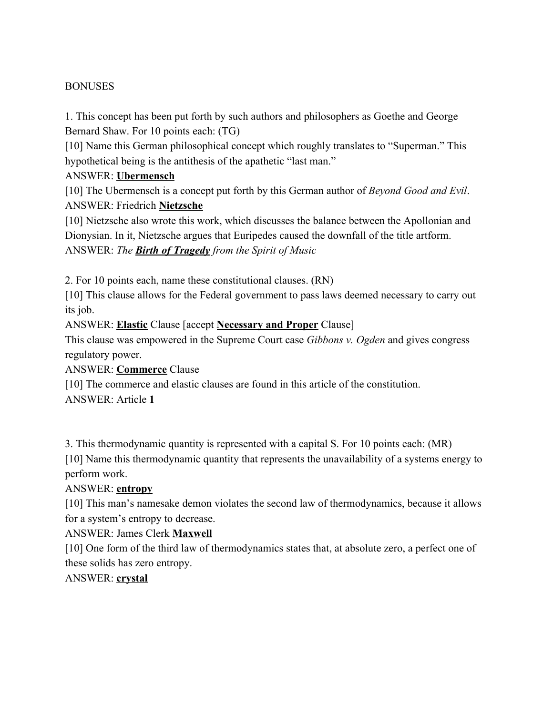#### **BONUSES**

1. This concept has been put forth by such authors and philosophers as Goethe and George Bernard Shaw. For 10 points each: (TG)

[10] Name this German philosophical concept which roughly translates to "Superman." This hypothetical being is the antithesis of the apathetic "last man."

#### ANSWER: **Ubermensch**

[10] The Ubermensch is a concept put forth by this German author of *Beyond Good and Evil*. ANSWER: Friedrich **Nietzsche**

[10] Nietzsche also wrote this work, which discusses the balance between the Apollonian and Dionysian. In it, Nietzsche argues that Euripedes caused the downfall of the title artform. ANSWER: *The Birth of Tragedy from the Spirit of Music*

2. For 10 points each, name these constitutional clauses. (RN)

[10] This clause allows for the Federal government to pass laws deemed necessary to carry out its job.

ANSWER: **Elastic** Clause [accept **Necessary and Proper** Clause]

This clause was empowered in the Supreme Court case *Gibbons v. Ogden* and gives congress regulatory power.

ANSWER: **Commerce** Clause

[10] The commerce and elastic clauses are found in this article of the constitution.

ANSWER: Article **1**

3. This thermodynamic quantity is represented with a capital S. For 10 points each: (MR)

[10] Name this thermodynamic quantity that represents the unavailability of a systems energy to perform work.

#### ANSWER: **entropy**

[10] This man's namesake demon violates the second law of thermodynamics, because it allows for a system's entropy to decrease.

#### ANSWER: James Clerk **Maxwell**

[10] One form of the third law of thermodynamics states that, at absolute zero, a perfect one of these solids has zero entropy.

### ANSWER: **crystal**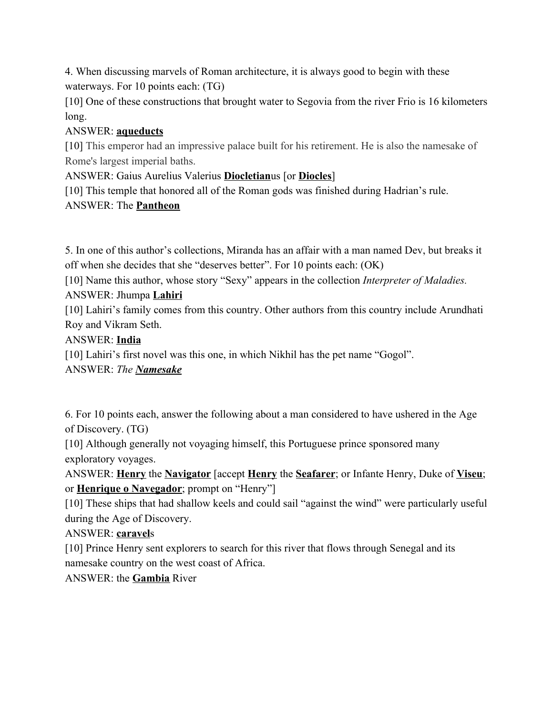4. When discussing marvels of Roman architecture, it is always good to begin with these waterways. For 10 points each: (TG)

[10] One of these constructions that brought water to Segovia from the river Frio is 16 kilometers long.

### ANSWER: **aqueducts**

[10] This emperor had an impressive palace built for his retirement. He is also the namesake of Rome's largest imperial baths.

ANSWER: Gaius Aurelius Valerius **Diocletian**us [or **Diocles**]

[10] This temple that honored all of the Roman gods was finished during Hadrian's rule.

# ANSWER: The **Pantheon**

5. In one of this author's collections, Miranda has an affair with a man named Dev, but breaks it off when she decides that she "deserves better". For 10 points each: (OK)

[10] Name this author, whose story "Sexy" appears in the collection *Interpreter of Maladies.* ANSWER: Jhumpa **Lahiri**

[10] Lahiri's family comes from this country. Other authors from this country include Arundhati Roy and Vikram Seth.

# ANSWER: **India**

[10] Lahiri's first novel was this one, in which Nikhil has the pet name "Gogol".

# ANSWER: *The Namesake*

6. For 10 points each, answer the following about a man considered to have ushered in the Age of Discovery. (TG)

[10] Although generally not voyaging himself, this Portuguese prince sponsored many exploratory voyages.

ANSWER: **Henry** the **Navigator** [accept **Henry** the **Seafarer**; or Infante Henry, Duke of **Viseu**; or **Henrique o Navegador**; prompt on "Henry"]

[10] These ships that had shallow keels and could sail "against the wind" were particularly useful during the Age of Discovery.

### ANSWER: **caravel**s

[10] Prince Henry sent explorers to search for this river that flows through Senegal and its namesake country on the west coast of Africa.

### ANSWER: the **Gambia** River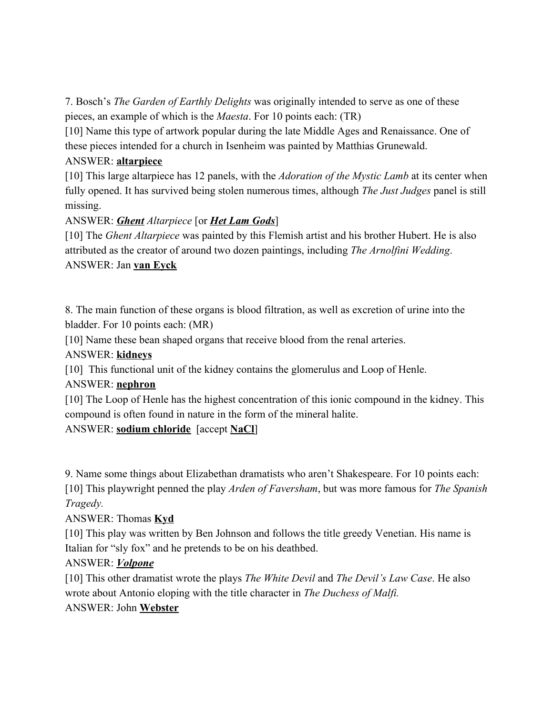7. Bosch's *The Garden of Earthly Delights* was originally intended to serve as one of these pieces, an example of which is the *Maesta*. For 10 points each: (TR)

[10] Name this type of artwork popular during the late Middle Ages and Renaissance. One of these pieces intended for a church in Isenheim was painted by Matthias Grunewald.

### ANSWER: **altarpiece**

[10] This large altarpiece has 12 panels, with the *Adoration of the Mystic Lamb* at its center when fully opened. It has survived being stolen numerous times, although *The Just Judges* panel is still missing.

# ANSWER: *Ghent Altarpiece* [or *Het Lam Gods*]

[10] The *Ghent Altarpiece* was painted by this Flemish artist and his brother Hubert. He is also attributed as the creator of around two dozen paintings, including *The Arnolfini Wedding*. ANSWER: Jan **van Eyck**

8. The main function of these organs is blood filtration, as well as excretion of urine into the bladder. For 10 points each: (MR)

[10] Name these bean shaped organs that receive blood from the renal arteries.

ANSWER: **kidneys**

[10] This functional unit of the kidney contains the glomerulus and Loop of Henle.

### ANSWER: **nephron**

[10] The Loop of Henle has the highest concentration of this ionic compound in the kidney. This compound is often found in nature in the form of the mineral halite.

# ANSWER: **sodium chloride** [accept **NaCl**]

9. Name some things about Elizabethan dramatists who aren't Shakespeare. For 10 points each: [10] This playwright penned the play *Arden of Faversham*, but was more famous for *The Spanish Tragedy.*

### ANSWER: Thomas **Kyd**

[10] This play was written by Ben Johnson and follows the title greedy Venetian. His name is Italian for "sly fox" and he pretends to be on his deathbed.

### ANSWER: *Volpone*

[10] This other dramatist wrote the plays *The White Devil* and *The Devil's Law Case*. He also wrote about Antonio eloping with the title character in *The Duchess of Malfi.*

# ANSWER: John **Webster**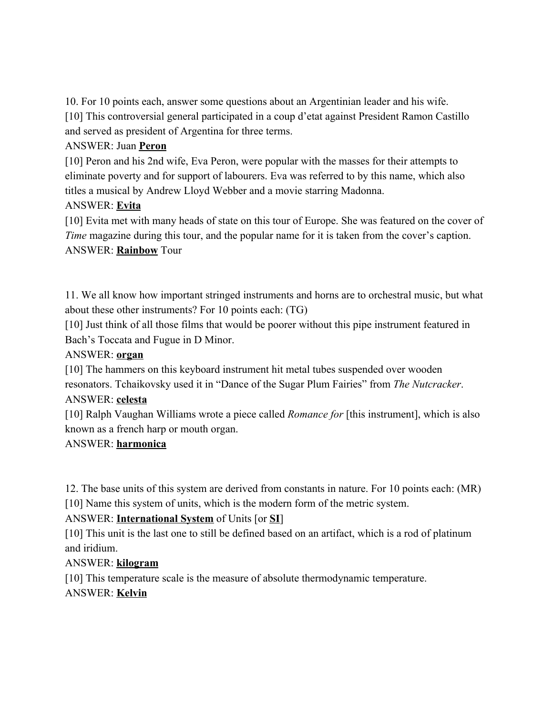10. For 10 points each, answer some questions about an Argentinian leader and his wife. [10] This controversial general participated in a coup d'etat against President Ramon Castillo and served as president of Argentina for three terms.

#### ANSWER: Juan **Peron**

[10] Peron and his 2nd wife, Eva Peron, were popular with the masses for their attempts to eliminate poverty and for support of labourers. Eva was referred to by this name, which also titles a musical by Andrew Lloyd Webber and a movie starring Madonna.

### ANSWER: **Evita**

[10] Evita met with many heads of state on this tour of Europe. She was featured on the cover of *Time* magazine during this tour, and the popular name for it is taken from the cover's caption. ANSWER: **Rainbow** Tour

11. We all know how important stringed instruments and horns are to orchestral music, but what about these other instruments? For 10 points each: (TG)

[10] Just think of all those films that would be poorer without this pipe instrument featured in Bach's Toccata and Fugue in D Minor.

### ANSWER: **organ**

[10] The hammers on this keyboard instrument hit metal tubes suspended over wooden resonators. Tchaikovsky used it in "Dance of the Sugar Plum Fairies" from *The Nutcracker*.

#### ANSWER: **celesta**

[10] Ralph Vaughan Williams wrote a piece called *Romance for* [this instrument], which is also known as a french harp or mouth organ.

### ANSWER: **harmonica**

12. The base units of this system are derived from constants in nature. For 10 points each: (MR) [10] Name this system of units, which is the modern form of the metric system.

### ANSWER: **International System** of Units [or **SI**]

[10] This unit is the last one to still be defined based on an artifact, which is a rod of platinum and iridium.

### ANSWER: **kilogram**

[10] This temperature scale is the measure of absolute thermodynamic temperature. ANSWER: **Kelvin**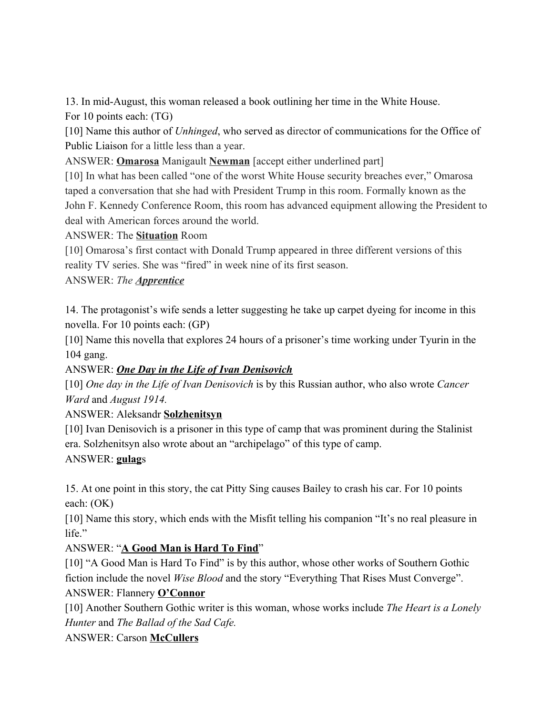13. In mid-August, this woman released a book outlining her time in the White House.

For 10 points each: (TG)

[10] Name this author of *Unhinged*, who served as director of communications for the [Office of](https://en.wikipedia.org/wiki/Office_of_Public_Liaison) [Public Liaison](https://en.wikipedia.org/wiki/Office_of_Public_Liaison) for a little less than a year.

ANSWER: **Omarosa** Manigault **Newman** [accept either underlined part]

[10] In what has been called "one of the worst White House security breaches ever," Omarosa taped a conversation that she had with President Trump in this room. Formally known as the John F. Kennedy Conference Room, this room has advanced equipment allowing the President to deal with American forces around the world.

ANSWER: The **Situation** Room

[10] Omarosa's first contact with Donald Trump appeared in three different versions of this reality TV series. She was "fired" in week nine of its first season.

### ANSWER: *The Apprentice*

14. The protagonist's wife sends a letter suggesting he take up carpet dyeing for income in this novella. For 10 points each: (GP)

[10] Name this novella that explores 24 hours of a prisoner's time working under Tyurin in the 104 gang.

### ANSWER: *One Day in the Life of Ivan Denisovich*

[10] *One day in the Life of Ivan Denisovich* is by this Russian author, who also wrote *Cancer Ward* and *August 1914.*

### ANSWER: Aleksandr **Solzhenitsyn**

[10] Ivan Denisovich is a prisoner in this type of camp that was prominent during the Stalinist era. Solzhenitsyn also wrote about an "archipelago" of this type of camp.

### ANSWER: **gulag**s

15. At one point in this story, the cat Pitty Sing causes Bailey to crash his car. For 10 points each: (OK)

[10] Name this story, which ends with the Misfit telling his companion "It's no real pleasure in life."

### ANSWER: "**A Good Man is Hard To Find**"

[10] "A Good Man is Hard To Find" is by this author, whose other works of Southern Gothic fiction include the novel *Wise Blood* and the story "Everything That Rises Must Converge". ANSWER: Flannery **O'Connor**

[10] Another Southern Gothic writer is this woman, whose works include *The Heart is a Lonely Hunter* and *The Ballad of the Sad Cafe.*

### ANSWER: Carson **McCullers**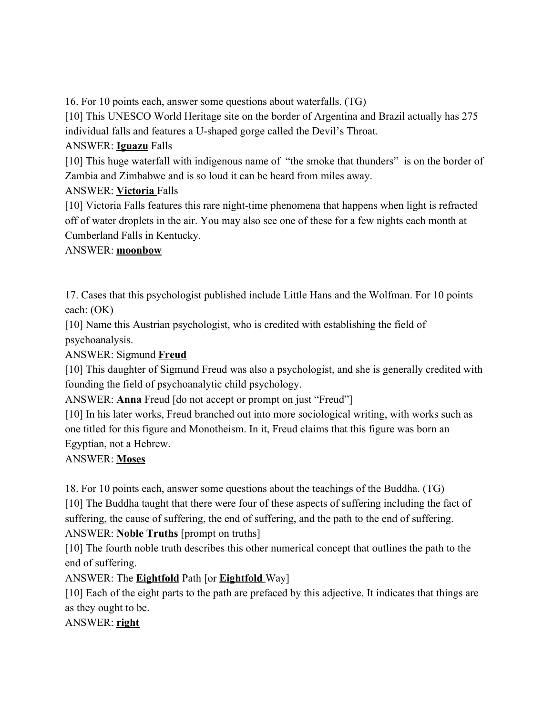16. For 10 points each, answer some questions about waterfalls. (TG)

[10] This UNESCO World Heritage site on the border of Argentina and Brazil actually has 275 individual falls and features a U-shaped gorge called the Devil's Throat.

### ANSWER: **Iguazu** Falls

[10] This huge waterfall with indigenous name of "the smoke that thunders" is on the border of Zambia and Zimbabwe and is so loud it can be heard from miles away.

### ANSWER: **Victoria** Falls

[10] Victoria Falls features this rare night-time phenomena that happens when light is refracted off of water droplets in the air. You may also see one of these for a few nights each month at Cumberland Falls in Kentucky.

### ANSWER: **moonbow**

17. Cases that this psychologist published include Little Hans and the Wolfman. For 10 points each: (OK)

[10] Name this Austrian psychologist, who is credited with establishing the field of psychoanalysis.

ANSWER: Sigmund **Freud**

[10] This daughter of Sigmund Freud was also a psychologist, and she is generally credited with founding the field of psychoanalytic child psychology.

ANSWER: **Anna** Freud [do not accept or prompt on just "Freud"]

[10] In his later works, Freud branched out into more sociological writing, with works such as one titled for this figure and Monotheism. In it, Freud claims that this figure was born an Egyptian, not a Hebrew.

### ANSWER: **Moses**

18. For 10 points each, answer some questions about the teachings of the Buddha. (TG) [10] The Buddha taught that there were four of these aspects of suffering including the fact of suffering, the cause of suffering, the end of suffering, and the path to the end of suffering. ANSWER: **Noble Truths** [prompt on truths]

[10] The fourth noble truth describes this other numerical concept that outlines the path to the end of suffering.

ANSWER: The **Eightfold** Path [or **Eightfold** Way]

[10] Each of the eight parts to the path are prefaced by this adjective. It indicates that things are as they ought to be.

ANSWER: **right**